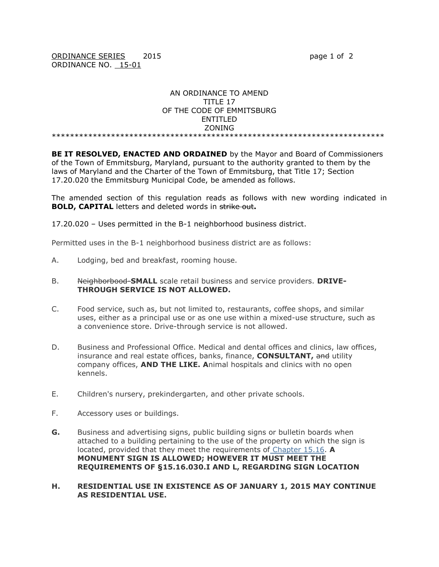## AN ORDINANCE TO AMEND TITLE 17 OF THE CODE OF EMMITSBURG ENTITLED ZONING

\*\*\*\*\*\*\*\*\*\*\*\*\*\*\*\*\*\*\*\*\*\*\*\*\*\*\*\*\*\*\*\*\*\*\*\*\*\*\*\*\*\*\*\*\*\*\*\*\*\*\*\*\*\*\*\*\*\*\*\*\*\*\*\*\*\*\*\*\*\*\*\*\*

**BE IT RESOLVED, ENACTED AND ORDAINED** by the Mayor and Board of Commissioners of the Town of Emmitsburg, Maryland, pursuant to the authority granted to them by the laws of Maryland and the Charter of the Town of Emmitsburg, that Title 17; Section 17.20.020 the Emmitsburg Municipal Code, be amended as follows.

The amended section of this regulation reads as follows with new wording indicated in **BOLD, CAPITAL** letters and deleted words in strike out**.**

17.20.020 – Uses permitted in the B-1 neighborhood business district.

Permitted uses in the B-1 neighborhood business district are as follows:

A. Lodging, bed and breakfast, rooming house.

## B. Neighborbood-**SMALL** scale retail business and service providers. **DRIVE-THROUGH SERVICE IS NOT ALLOWED.**

- C. Food service, such as, but not limited to, restaurants, coffee shops, and similar uses, either as a principal use or as one use within a mixed-use structure, such as a convenience store. Drive-through service is not allowed.
- D. Business and Professional Office. Medical and dental offices and clinics, law offices, insurance and real estate offices, banks, finance, **CONSULTANT,** and utility company offices, **AND THE LIKE. A**nimal hospitals and clinics with no open kennels.
- E. Children's nursery, prekindergarten, and other private schools.
- F. Accessory uses or buildings.
- **G.** Business and advertising signs, public building signs or bulletin boards when attached to a building pertaining to the use of the property on which the sign is located, provided that they meet the requirements of [Chapter 15.16.](https://www.municode.com/library/md/emmitsburg/codes/code_of_ordinances?nodeId=TIT15BUCO_CH15.16SICO) **A MONUMENT SIGN IS ALLOWED; HOWEVER IT MUST MEET THE REQUIREMENTS OF §15.16.030.I AND L, REGARDING SIGN LOCATION**

### **H. RESIDENTIAL USE IN EXISTENCE AS OF JANUARY 1, 2015 MAY CONTINUE AS RESIDENTIAL USE.**